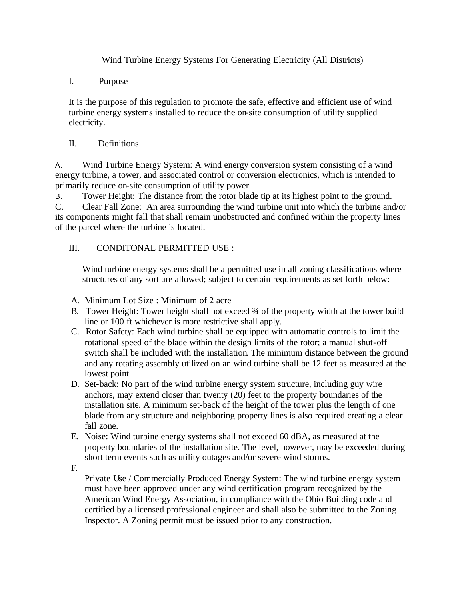Wind Turbine Energy Systems For Generating Electricity (All Districts)

I. Purpose

It is the purpose of this regulation to promote the safe, effective and efficient use of wind turbine energy systems installed to reduce the on-site consumption of utility supplied electricity.

II. Definitions

A. Wind Turbine Energy System: A wind energy conversion system consisting of a wind energy turbine, a tower, and associated control or conversion electronics, which is intended to primarily reduce on-site consumption of utility power.

B. Tower Height: The distance from the rotor blade tip at its highest point to the ground. C. Clear Fall Zone: An area surrounding the wind turbine unit into which the turbine and/or its components might fall that shall remain unobstructed and confined within the property lines of the parcel where the turbine is located.

## III. CONDITONAL PERMITTED USE :

Wind turbine energy systems shall be a permitted use in all zoning classifications where structures of any sort are allowed; subject to certain requirements as set forth below:

- A. Minimum Lot Size : Minimum of 2 acre
- B. Tower Height: Tower height shall not exceed 3⁄4 of the property width at the tower build line or 100 ft whichever is more restrictive shall apply.
- C. Rotor Safety: Each wind turbine shall be equipped with automatic controls to limit the rotational speed of the blade within the design limits of the rotor; a manual shut-off switch shall be included with the installation. The minimum distance between the ground and any rotating assembly utilized on an wind turbine shall be 12 feet as measured at the lowest point
- D. Set-back: No part of the wind turbine energy system structure, including guy wire anchors, may extend closer than twenty (20) feet to the property boundaries of the installation site. A minimum set-back of the height of the tower plus the length of one blade from any structure and neighboring property lines is also required creating a clear fall zone.
- E. Noise: Wind turbine energy systems shall not exceed 60 dBA, as measured at the property boundaries of the installation site. The level, however, may be exceeded during short term events such as utility outages and/or severe wind storms.
- F.

Private Use / Commercially Produced Energy System: The wind turbine energy system must have been approved under any wind certification program recognized by the American Wind Energy Association, in compliance with the Ohio Building code and certified by a licensed professional engineer and shall also be submitted to the Zoning Inspector. A Zoning permit must be issued prior to any construction.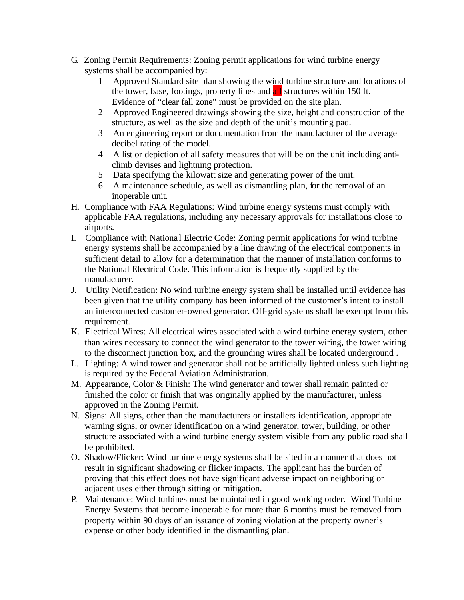- G. Zoning Permit Requirements: Zoning permit applications for wind turbine energy systems shall be accompanied by:
	- 1 Approved Standard site plan showing the wind turbine structure and locations of the tower, base, footings, property lines and **all** structures within 150 ft. Evidence of "clear fall zone" must be provided on the site plan.
	- 2 Approved Engineered drawings showing the size, height and construction of the structure, as well as the size and depth of the unit's mounting pad.
	- 3 An engineering report or documentation from the manufacturer of the average decibel rating of the model.
	- 4 A list or depiction of all safety measures that will be on the unit including anticlimb devises and lightning protection.
	- 5 Data specifying the kilowatt size and generating power of the unit.
	- 6 A maintenance schedule, as well as dismantling plan, for the removal of an inoperable unit.
- H. Compliance with FAA Regulations: Wind turbine energy systems must comply with applicable FAA regulations, including any necessary approvals for installations close to airports.
- I. Compliance with Nationa l Electric Code: Zoning permit applications for wind turbine energy systems shall be accompanied by a line drawing of the electrical components in sufficient detail to allow for a determination that the manner of installation conforms to the National Electrical Code. This information is frequently supplied by the manufacturer.
- J. Utility Notification: No wind turbine energy system shall be installed until evidence has been given that the utility company has been informed of the customer's intent to install an interconnected customer-owned generator. Off-grid systems shall be exempt from this requirement.
- K. Electrical Wires: All electrical wires associated with a wind turbine energy system, other than wires necessary to connect the wind generator to the tower wiring, the tower wiring to the disconnect junction box, and the grounding wires shall be located underground .
- L. Lighting: A wind tower and generator shall not be artificially lighted unless such lighting is required by the Federal Aviation Administration.
- M. Appearance, Color & Finish: The wind generator and tower shall remain painted or finished the color or finish that was originally applied by the manufacturer, unless approved in the Zoning Permit.
- N. Signs: All signs, other than the manufacturers or installers identification, appropriate warning signs, or owner identification on a wind generator, tower, building, or other structure associated with a wind turbine energy system visible from any public road shall be prohibited.
- O. Shadow/Flicker: Wind turbine energy systems shall be sited in a manner that does not result in significant shadowing or flicker impacts. The applicant has the burden of proving that this effect does not have significant adverse impact on neighboring or adjacent uses either through sitting or mitigation.
- P. Maintenance: Wind turbines must be maintained in good working order. Wind Turbine Energy Systems that become inoperable for more than 6 months must be removed from property within 90 days of an issuance of zoning violation at the property owner's expense or other body identified in the dismantling plan.